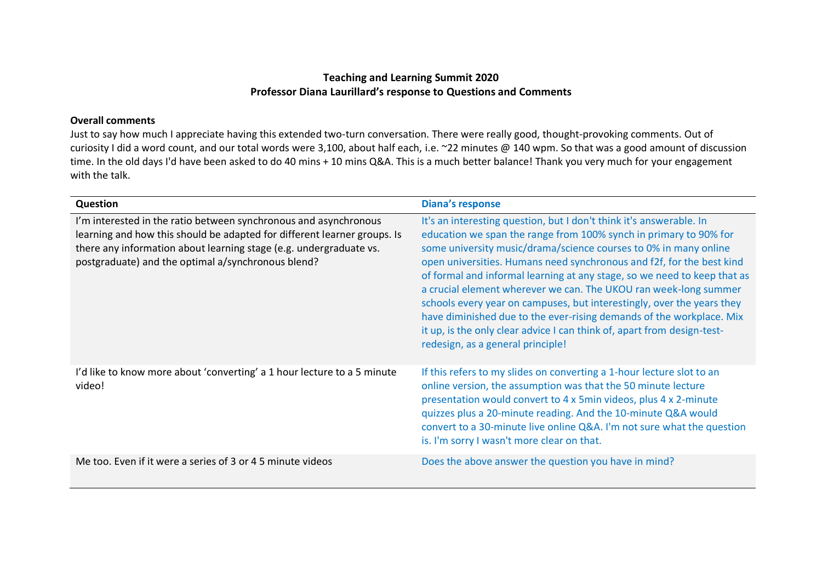## **Teaching and Learning Summit 2020 Professor Diana Laurillard's response to Questions and Comments**

## **Overall comments**

Just to say how much I appreciate having this extended two-turn conversation. There were really good, thought-provoking comments. Out of curiosity I did a word count, and our total words were 3,100, about half each, i.e. ~22 minutes @ 140 wpm. So that was a good amount of discussion time. In the old days I'd have been asked to do 40 mins + 10 mins Q&A. This is a much better balance! Thank you very much for your engagement with the talk.

| Question                                                                                                                                                                                                                                                                 | <b>Diana's response</b>                                                                                                                                                                                                                                                                                                                                                                                                                                                                                                                                                                                                                                                                                 |
|--------------------------------------------------------------------------------------------------------------------------------------------------------------------------------------------------------------------------------------------------------------------------|---------------------------------------------------------------------------------------------------------------------------------------------------------------------------------------------------------------------------------------------------------------------------------------------------------------------------------------------------------------------------------------------------------------------------------------------------------------------------------------------------------------------------------------------------------------------------------------------------------------------------------------------------------------------------------------------------------|
| I'm interested in the ratio between synchronous and asynchronous<br>learning and how this should be adapted for different learner groups. Is<br>there any information about learning stage (e.g. undergraduate vs.<br>postgraduate) and the optimal a/synchronous blend? | It's an interesting question, but I don't think it's answerable. In<br>education we span the range from 100% synch in primary to 90% for<br>some university music/drama/science courses to 0% in many online<br>open universities. Humans need synchronous and f2f, for the best kind<br>of formal and informal learning at any stage, so we need to keep that as<br>a crucial element wherever we can. The UKOU ran week-long summer<br>schools every year on campuses, but interestingly, over the years they<br>have diminished due to the ever-rising demands of the workplace. Mix<br>it up, is the only clear advice I can think of, apart from design-test-<br>redesign, as a general principle! |
| I'd like to know more about 'converting' a 1 hour lecture to a 5 minute<br>video!                                                                                                                                                                                        | If this refers to my slides on converting a 1-hour lecture slot to an<br>online version, the assumption was that the 50 minute lecture<br>presentation would convert to 4 x 5min videos, plus 4 x 2-minute<br>quizzes plus a 20-minute reading. And the 10-minute Q&A would<br>convert to a 30-minute live online Q&A. I'm not sure what the question<br>is. I'm sorry I wasn't more clear on that.                                                                                                                                                                                                                                                                                                     |
| Me too. Even if it were a series of 3 or 4 5 minute videos                                                                                                                                                                                                               | Does the above answer the question you have in mind?                                                                                                                                                                                                                                                                                                                                                                                                                                                                                                                                                                                                                                                    |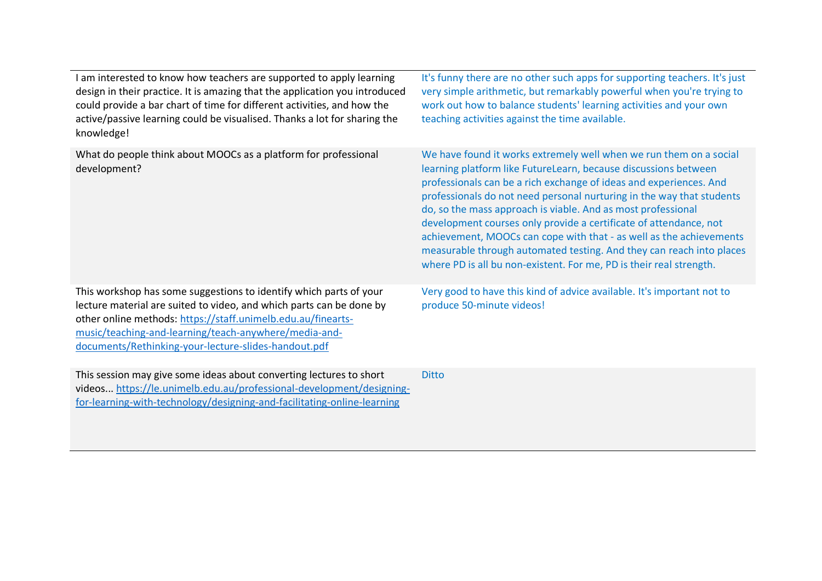I am interested to know how teachers are supported to apply learning design in their practice. It is amazing that the application you introduced could provide a bar chart of time for different activities, and how the active/passive learning could be visualised. Thanks a lot for sharing the knowledge!

What do people think about MOOCs as a platform for professional development?

This workshop has some suggestions to identify which parts of your lecture material are suited to video, and which parts can be done by other online methods: [https://staff.unimelb.edu.au/finearts](https://staff.unimelb.edu.au/finearts-music/teaching-and-learning/teach-anywhere/media-and-documents/Rethinking-your-lecture-slides-handout.pdf)[music/teaching-and-learning/teach-anywhere/media-and](https://staff.unimelb.edu.au/finearts-music/teaching-and-learning/teach-anywhere/media-and-documents/Rethinking-your-lecture-slides-handout.pdf)[documents/Rethinking-your-lecture-slides-handout.pdf](https://staff.unimelb.edu.au/finearts-music/teaching-and-learning/teach-anywhere/media-and-documents/Rethinking-your-lecture-slides-handout.pdf)

This session may give some ideas about converting lectures to short videos... [https://le.unimelb.edu.au/professional-development/designing](https://le.unimelb.edu.au/professional-development/designing-for-learning-with-technology/designing-and-facilitating-online-learning)[for-learning-with-technology/designing-and-facilitating-online-learning](https://le.unimelb.edu.au/professional-development/designing-for-learning-with-technology/designing-and-facilitating-online-learning)

It's funny there are no other such apps for supporting teachers. It's just very simple arithmetic, but remarkably powerful when you're trying to work out how to balance students' learning activities and your own teaching activities against the time available.

We have found it works extremely well when we run them on a social learning platform like FutureLearn, because discussions between professionals can be a rich exchange of ideas and experiences. And professionals do not need personal nurturing in the way that students do, so the mass approach is viable. And as most professional development courses only provide a certificate of attendance, not achievement, MOOCs can cope with that - as well as the achievements measurable through automated testing. And they can reach into places where PD is all bu non-existent. For me, PD is their real strength.

Very good to have this kind of advice available. It's important not to produce 50-minute videos!

**Ditto**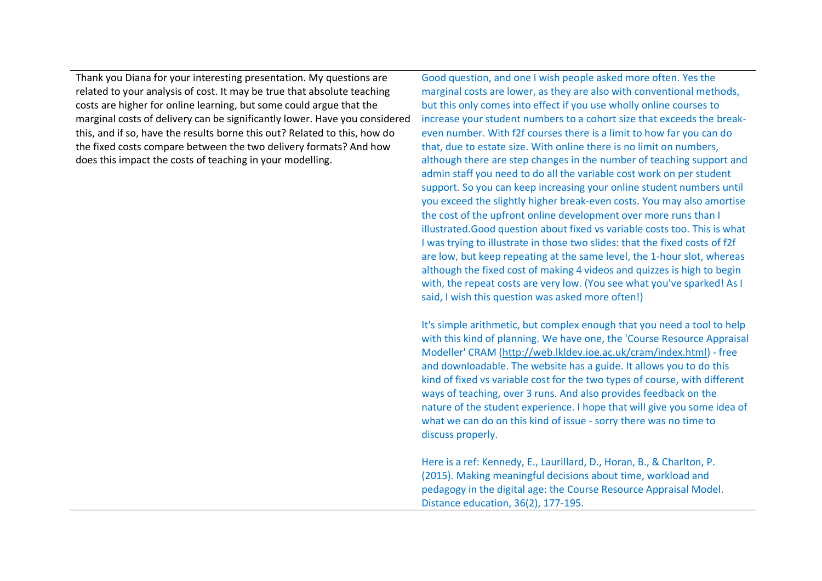Thank you Diana for your interesting presentation. My questions are related to your analysis of cost. It may be true that absolute teaching costs are higher for online learning, but some could argue that the marginal costs of delivery can be significantly lower. Have you considered this, and if so, have the results borne this out? Related to this, how do the fixed costs compare between the two delivery formats? And how does this impact the costs of teaching in your modelling.

Good question, and one I wish people asked more often. Yes the marginal costs are lower, as they are also with conventional methods, but this only comes into effect if you use wholly online courses to increase your student numbers to a cohort size that exceeds the breakeven number. With f2f courses there is a limit to how far you can do that, due to estate size. With online there is no limit on numbers, although there are step changes in the number of teaching support and admin staff you need to do all the variable cost work on per student support. So you can keep increasing your online student numbers until you exceed the slightly higher break-even costs. You may also amortise the cost of the upfront online development over more runs than I illustrated.Good question about fixed vs variable costs too. This is what I was trying to illustrate in those two slides: that the fixed costs of f2f are low, but keep repeating at the same level, the 1-hour slot, whereas although the fixed cost of making 4 videos and quizzes is high to begin with, the repeat costs are very low. (You see what you've sparked! As I said, I wish this question was asked more often!)

It's simple arithmetic, but complex enough that you need a tool to help with this kind of planning. We have one, the 'Course Resource Appraisal Modeller' CRAM [\(http://web.lkldev.ioe.ac.uk/cram/index.html\)](http://web.lkldev.ioe.ac.uk/cram/index.html) - free and downloadable. The website has a guide. It allows you to do this kind of fixed vs variable cost for the two types of course, with different ways of teaching, over 3 runs. And also provides feedback on the nature of the student experience. I hope that will give you some idea of what we can do on this kind of issue - sorry there was no time to discuss properly.

Here is a ref: Kennedy, E., Laurillard, D., Horan, B., & Charlton, P. (2015). Making meaningful decisions about time, workload and pedagogy in the digital age: the Course Resource Appraisal Model. Distance education, 36(2), 177-195.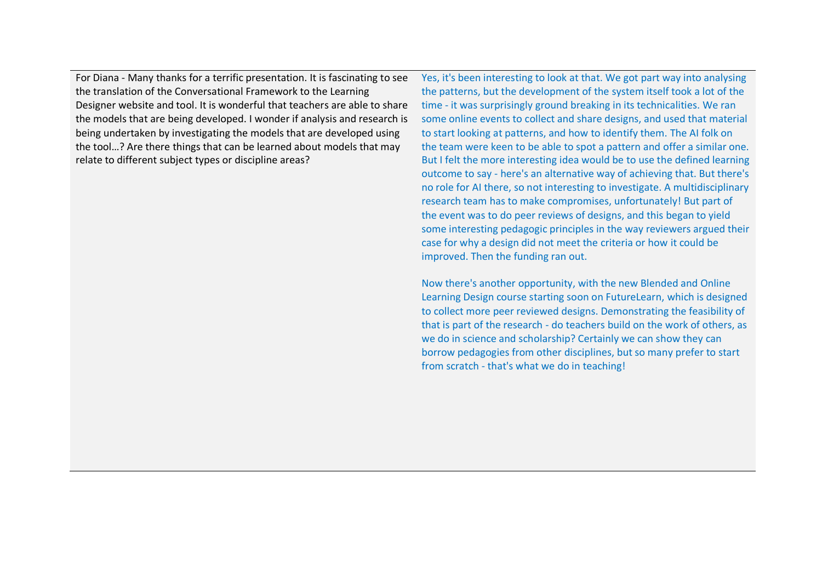For Diana - Many thanks for a terrific presentation. It is fascinating to see the translation of the Conversational Framework to the Learning Designer website and tool. It is wonderful that teachers are able to share the models that are being developed. I wonder if analysis and research is being undertaken by investigating the models that are developed using the tool…? Are there things that can be learned about models that may relate to different subject types or discipline areas?

Yes, it's been interesting to look at that. We got part way into analysing the patterns, but the development of the system itself took a lot of the time - it was surprisingly ground breaking in its technicalities. We ran some online events to collect and share designs, and used that material to start looking at patterns, and how to identify them. The AI folk on the team were keen to be able to spot a pattern and offer a similar one. But I felt the more interesting idea would be to use the defined learning outcome to say - here's an alternative way of achieving that. But there's no role for AI there, so not interesting to investigate. A multidisciplinary research team has to make compromises, unfortunately! But part of the event was to do peer reviews of designs, and this began to yield some interesting pedagogic principles in the way reviewers argued their case for why a design did not meet the criteria or how it could be improved. Then the funding ran out.

Now there's another opportunity, with the new Blended and Online Learning Design course starting soon on FutureLearn, which is designed to collect more peer reviewed designs. Demonstrating the feasibility of that is part of the research - do teachers build on the work of others, as we do in science and scholarship? Certainly we can show they can borrow pedagogies from other disciplines, but so many prefer to start from scratch - that's what we do in teaching!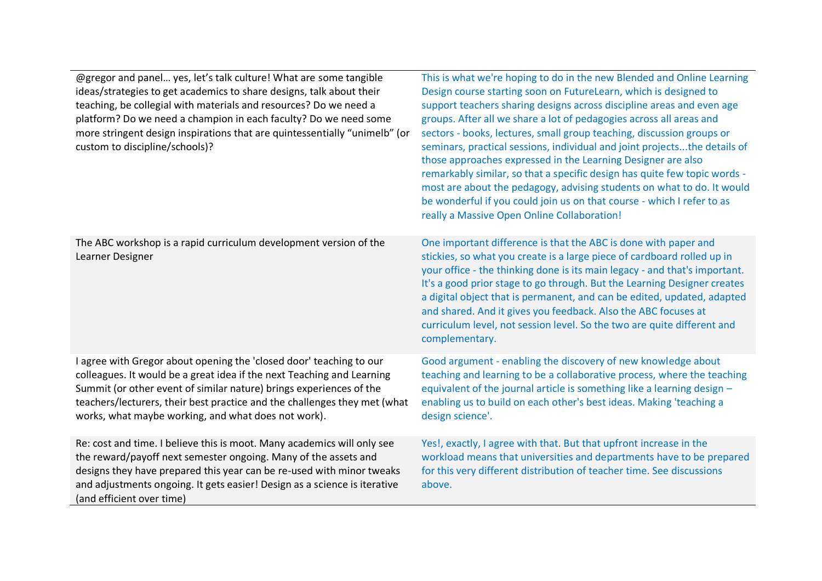| @gregor and panel yes, let's talk culture! What are some tangible<br>ideas/strategies to get academics to share designs, talk about their<br>teaching, be collegial with materials and resources? Do we need a<br>platform? Do we need a champion in each faculty? Do we need some<br>more stringent design inspirations that are quintessentially "unimelb" (or<br>custom to discipline/schools)? | This is what we're hoping to do in the new Blended and Online Learning<br>Design course starting soon on FutureLearn, which is designed to<br>support teachers sharing designs across discipline areas and even age<br>groups. After all we share a lot of pedagogies across all areas and<br>sectors - books, lectures, small group teaching, discussion groups or<br>seminars, practical sessions, individual and joint projectsthe details of<br>those approaches expressed in the Learning Designer are also<br>remarkably similar, so that a specific design has quite few topic words -<br>most are about the pedagogy, advising students on what to do. It would<br>be wonderful if you could join us on that course - which I refer to as<br>really a Massive Open Online Collaboration! |
|----------------------------------------------------------------------------------------------------------------------------------------------------------------------------------------------------------------------------------------------------------------------------------------------------------------------------------------------------------------------------------------------------|--------------------------------------------------------------------------------------------------------------------------------------------------------------------------------------------------------------------------------------------------------------------------------------------------------------------------------------------------------------------------------------------------------------------------------------------------------------------------------------------------------------------------------------------------------------------------------------------------------------------------------------------------------------------------------------------------------------------------------------------------------------------------------------------------|
| The ABC workshop is a rapid curriculum development version of the<br>Learner Designer                                                                                                                                                                                                                                                                                                              | One important difference is that the ABC is done with paper and<br>stickies, so what you create is a large piece of cardboard rolled up in<br>your office - the thinking done is its main legacy - and that's important.<br>It's a good prior stage to go through. But the Learning Designer creates<br>a digital object that is permanent, and can be edited, updated, adapted<br>and shared. And it gives you feedback. Also the ABC focuses at<br>curriculum level, not session level. So the two are quite different and<br>complementary.                                                                                                                                                                                                                                                   |
| I agree with Gregor about opening the 'closed door' teaching to our<br>colleagues. It would be a great idea if the next Teaching and Learning<br>Summit (or other event of similar nature) brings experiences of the<br>teachers/lecturers, their best practice and the challenges they met (what<br>works, what maybe working, and what does not work).                                           | Good argument - enabling the discovery of new knowledge about<br>teaching and learning to be a collaborative process, where the teaching<br>equivalent of the journal article is something like a learning design -<br>enabling us to build on each other's best ideas. Making 'teaching a<br>design science'.                                                                                                                                                                                                                                                                                                                                                                                                                                                                                   |
| Re: cost and time. I believe this is moot. Many academics will only see<br>the reward/payoff next semester ongoing. Many of the assets and<br>designs they have prepared this year can be re-used with minor tweaks<br>and adjustments ongoing. It gets easier! Design as a science is iterative<br>(and efficient over time)                                                                      | Yes!, exactly, I agree with that. But that upfront increase in the<br>workload means that universities and departments have to be prepared<br>for this very different distribution of teacher time. See discussions<br>above.                                                                                                                                                                                                                                                                                                                                                                                                                                                                                                                                                                    |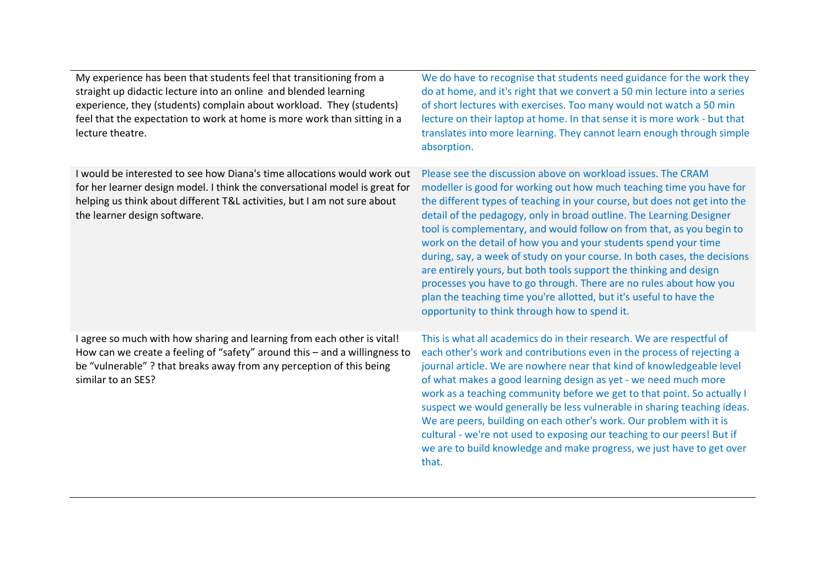| My experience has been that students feel that transitioning from a<br>straight up didactic lecture into an online and blended learning<br>experience, they (students) complain about workload. They (students)<br>feel that the expectation to work at home is more work than sitting in a<br>lecture theatre. | We do have to recognise that students need guidance for the work they<br>do at home, and it's right that we convert a 50 min lecture into a series<br>of short lectures with exercises. Too many would not watch a 50 min<br>lecture on their laptop at home. In that sense it is more work - but that<br>translates into more learning. They cannot learn enough through simple<br>absorption.                                                                                                                                                                                                                                                                                                                                                                                        |
|-----------------------------------------------------------------------------------------------------------------------------------------------------------------------------------------------------------------------------------------------------------------------------------------------------------------|----------------------------------------------------------------------------------------------------------------------------------------------------------------------------------------------------------------------------------------------------------------------------------------------------------------------------------------------------------------------------------------------------------------------------------------------------------------------------------------------------------------------------------------------------------------------------------------------------------------------------------------------------------------------------------------------------------------------------------------------------------------------------------------|
| I would be interested to see how Diana's time allocations would work out<br>for her learner design model. I think the conversational model is great for<br>helping us think about different T&L activities, but I am not sure about<br>the learner design software.                                             | Please see the discussion above on workload issues. The CRAM<br>modeller is good for working out how much teaching time you have for<br>the different types of teaching in your course, but does not get into the<br>detail of the pedagogy, only in broad outline. The Learning Designer<br>tool is complementary, and would follow on from that, as you begin to<br>work on the detail of how you and your students spend your time<br>during, say, a week of study on your course. In both cases, the decisions<br>are entirely yours, but both tools support the thinking and design<br>processes you have to go through. There are no rules about how you<br>plan the teaching time you're allotted, but it's useful to have the<br>opportunity to think through how to spend it. |
| I agree so much with how sharing and learning from each other is vital!<br>How can we create a feeling of "safety" around this - and a willingness to<br>be "vulnerable"? that breaks away from any perception of this being<br>similar to an SES?                                                              | This is what all academics do in their research. We are respectful of<br>each other's work and contributions even in the process of rejecting a<br>journal article. We are nowhere near that kind of knowledgeable level<br>of what makes a good learning design as yet - we need much more<br>work as a teaching community before we get to that point. So actually I<br>suspect we would generally be less vulnerable in sharing teaching ideas.<br>We are peers, building on each other's work. Our problem with it is<br>cultural - we're not used to exposing our teaching to our peers! But if<br>we are to build knowledge and make progress, we just have to get over<br>that.                                                                                                 |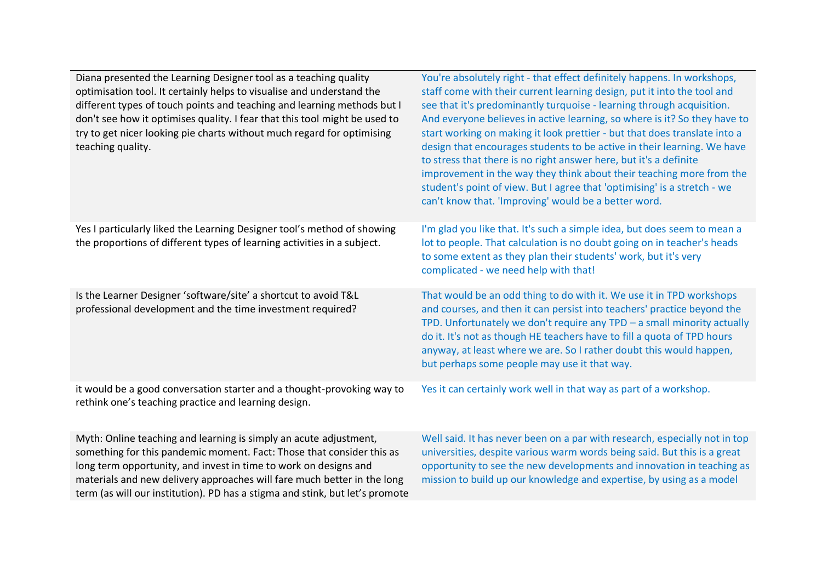| Diana presented the Learning Designer tool as a teaching quality<br>optimisation tool. It certainly helps to visualise and understand the<br>different types of touch points and teaching and learning methods but I<br>don't see how it optimises quality. I fear that this tool might be used to<br>try to get nicer looking pie charts without much regard for optimising<br>teaching quality. | You're absolutely right - that effect definitely happens. In workshops,<br>staff come with their current learning design, put it into the tool and<br>see that it's predominantly turquoise - learning through acquisition.<br>And everyone believes in active learning, so where is it? So they have to<br>start working on making it look prettier - but that does translate into a<br>design that encourages students to be active in their learning. We have<br>to stress that there is no right answer here, but it's a definite<br>improvement in the way they think about their teaching more from the<br>student's point of view. But I agree that 'optimising' is a stretch - we<br>can't know that. 'Improving' would be a better word. |
|---------------------------------------------------------------------------------------------------------------------------------------------------------------------------------------------------------------------------------------------------------------------------------------------------------------------------------------------------------------------------------------------------|---------------------------------------------------------------------------------------------------------------------------------------------------------------------------------------------------------------------------------------------------------------------------------------------------------------------------------------------------------------------------------------------------------------------------------------------------------------------------------------------------------------------------------------------------------------------------------------------------------------------------------------------------------------------------------------------------------------------------------------------------|
| Yes I particularly liked the Learning Designer tool's method of showing<br>the proportions of different types of learning activities in a subject.                                                                                                                                                                                                                                                | I'm glad you like that. It's such a simple idea, but does seem to mean a<br>lot to people. That calculation is no doubt going on in teacher's heads<br>to some extent as they plan their students' work, but it's very<br>complicated - we need help with that!                                                                                                                                                                                                                                                                                                                                                                                                                                                                                   |
| Is the Learner Designer 'software/site' a shortcut to avoid T&L<br>professional development and the time investment required?                                                                                                                                                                                                                                                                     | That would be an odd thing to do with it. We use it in TPD workshops<br>and courses, and then it can persist into teachers' practice beyond the<br>TPD. Unfortunately we don't require any $TPD - a$ small minority actually<br>do it. It's not as though HE teachers have to fill a quota of TPD hours<br>anyway, at least where we are. So I rather doubt this would happen,<br>but perhaps some people may use it that way.                                                                                                                                                                                                                                                                                                                    |
| it would be a good conversation starter and a thought-provoking way to<br>rethink one's teaching practice and learning design.                                                                                                                                                                                                                                                                    | Yes it can certainly work well in that way as part of a workshop.                                                                                                                                                                                                                                                                                                                                                                                                                                                                                                                                                                                                                                                                                 |
| Myth: Online teaching and learning is simply an acute adjustment,<br>something for this pandemic moment. Fact: Those that consider this as                                                                                                                                                                                                                                                        | Well said. It has never been on a par with research, especially not in top<br>universities, despite various warm words being said. But this is a great                                                                                                                                                                                                                                                                                                                                                                                                                                                                                                                                                                                            |

long term opportunity, and invest in time to work on designs and materials and new delivery approaches will fare much better in the long term (as will our institution). PD has a stigma and stink, but let's promote

universities, despite various warm words being said. But this is a great opportunity to see the new developments and innovation in teaching as mission to build up our knowledge and expertise, by using as a model